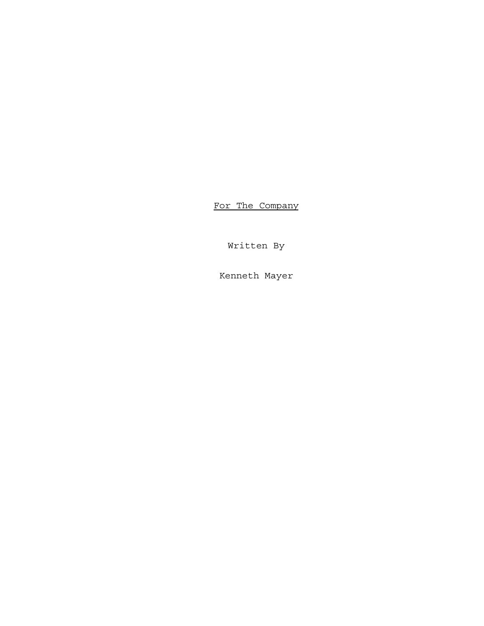For The Company

Written By

Kenneth Mayer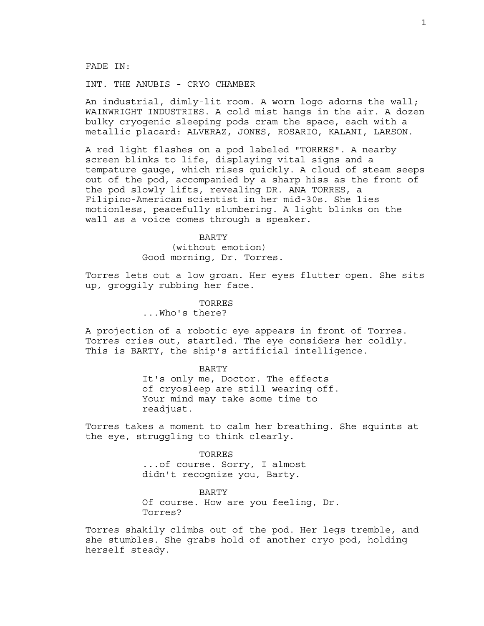FADE IN:

INT. THE ANUBIS - CRYO CHAMBER

An industrial, dimly-lit room. A worn logo adorns the wall; WAINWRIGHT INDUSTRIES. A cold mist hangs in the air. A dozen bulky cryogenic sleeping pods cram the space, each with a metallic placard: ALVERAZ, JONES, ROSARIO, KALANI, LARSON.

A red light flashes on a pod labeled "TORRES". A nearby screen blinks to life, displaying vital signs and a tempature gauge, which rises quickly. A cloud of steam seeps out of the pod, accompanied by a sharp hiss as the front of the pod slowly lifts, revealing DR. ANA TORRES, a Filipino-American scientist in her mid-30s. She lies motionless, peacefully slumbering. A light blinks on the wall as a voice comes through a speaker.

> BARTY (without emotion) Good morning, Dr. Torres.

Torres lets out a low groan. Her eyes flutter open. She sits up, groggily rubbing her face.

> TORRES ...Who's there?

A projection of a robotic eye appears in front of Torres. Torres cries out, startled. The eye considers her coldly. This is BARTY, the ship's artificial intelligence.

BARTY

It's only me, Doctor. The effects of cryosleep are still wearing off. Your mind may take some time to readjust.

Torres takes a moment to calm her breathing. She squints at the eye, struggling to think clearly.

> TORRES ...of course. Sorry, I almost didn't recognize you, Barty.

BARTY Of course. How are you feeling, Dr. Torres?

Torres shakily climbs out of the pod. Her legs tremble, and she stumbles. She grabs hold of another cryo pod, holding herself steady.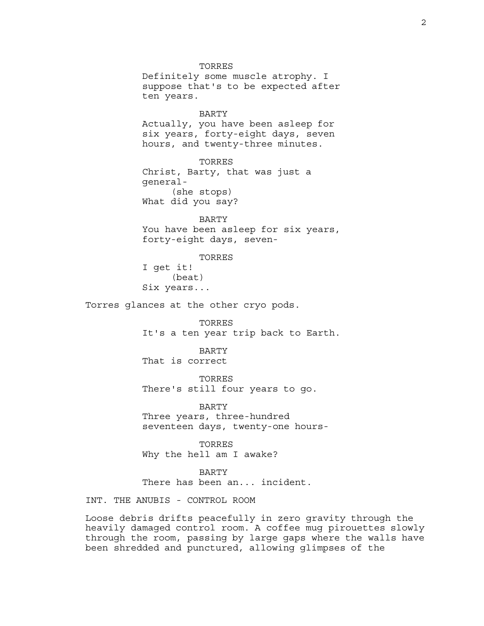TORRES Definitely some muscle atrophy. I suppose that's to be expected after ten years. BARTY Actually, you have been asleep for six years, forty-eight days, seven hours, and twenty-three minutes. TORRES Christ, Barty, that was just a general- (she stops) What did you say? BARTY You have been asleep for six years, forty-eight days, seven-TORRES I get it! (beat) Six years... Torres glances at the other cryo pods. TORRES It's a ten year trip back to Earth. BARTY That is correct TORRES There's still four years to go. BARTY Three years, three-hundred seventeen days, twenty-one hours-TORRES Why the hell am I awake?

> BARTY There has been an... incident.

INT. THE ANUBIS - CONTROL ROOM

Loose debris drifts peacefully in zero gravity through the heavily damaged control room. A coffee mug pirouettes slowly through the room, passing by large gaps where the walls have been shredded and punctured, allowing glimpses of the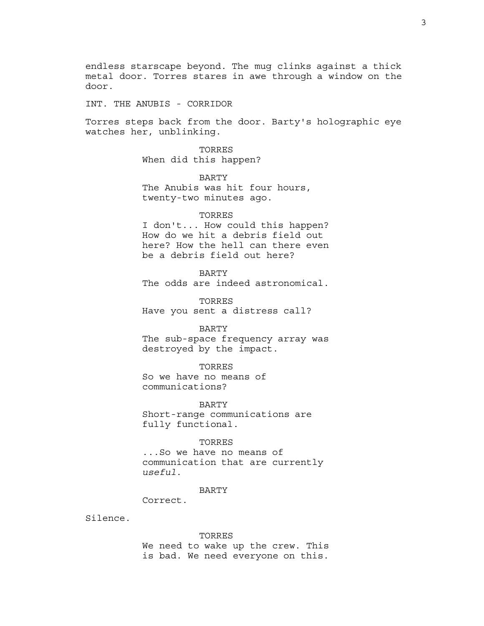endless starscape beyond. The mug clinks against a thick metal door. Torres stares in awe through a window on the door.

INT. THE ANUBIS - CORRIDOR

Torres steps back from the door. Barty's holographic eye watches her, unblinking.

> TORRES When did this happen?

BARTY The Anubis was hit four hours, twenty-two minutes ago.

# TORRES

I don't... How could this happen? How do we hit a debris field out here? How the hell can there even be a debris field out here?

BARTY

The odds are indeed astronomical.

TORRES Have you sent a distress call?

BARTY The sub-space frequency array was destroyed by the impact.

TORRES So we have no means of communications?

BARTY

Short-range communications are fully functional.

### TORRES

...So we have no means of communication that are currently *useful*.

# BARTY

Correct.

Silence.

TORRES

We need to wake up the crew. This is bad. We need everyone on this.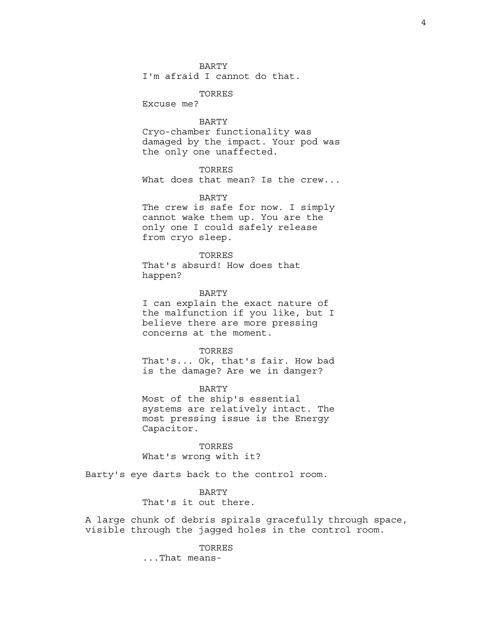### BARTY

I'm afraid I cannot do that.

TORRES

Excuse me?

# BARTY

Cryo-chamber functionality was damaged by the impact. Your pod was the only one unaffected.

# TORRES

What does that mean? Is the crew...

### BARTY

The crew is safe for now. I simply cannot wake them up. You are the only one I could safely release from cryo sleep.

# TORRES

That's absurd! How does that happen?

# BARTY

I can explain the exact nature of the malfunction if you like, but I believe there are more pressing concerns at the moment.

### TORRES

That's... Ok, that's fair. How bad is the damage? Are we in danger?

### BARTY

Most of the ship's essential systems are relatively intact. The most pressing issue is the Energy Capacitor.

TORRES What's wrong with it?

Barty's eye darts back to the control room.

### BARTY

That's it out there.

A large chunk of debris spirals gracefully through space, visible through the jagged holes in the control room.

#### TORRES

...That means-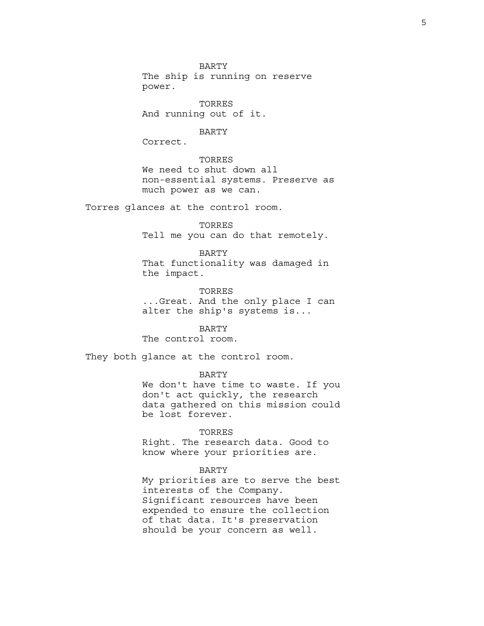BARTY The ship is running on reserve power.

TORRES And running out of it.

#### BARTY

Correct.

TORRES We need to shut down all non-essential systems. Preserve as much power as we can.

Torres glances at the control room.

# TORRES

Tell me you can do that remotely.

#### BARTY

That functionality was damaged in the impact.

TORRES ...Great. And the only place I can alter the ship's systems is...

BARTY The control room.

They both glance at the control room.

BARTY

We don't have time to waste. If you don't act quickly, the research data gathered on this mission could be lost forever.

# TORRES

Right. The research data. Good to know where your priorities are.

### BARTY

My priorities are to serve the best interests of the Company. Significant resources have been expended to ensure the collection of that data. It's preservation should be your concern as well.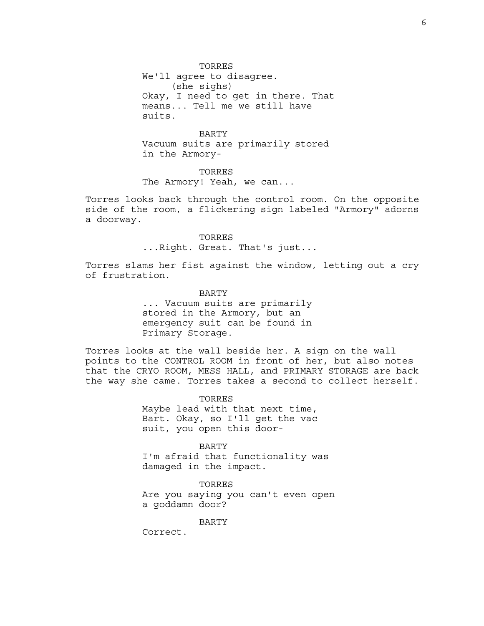TORRES We'll agree to disagree. (she sighs) Okay, I need to get in there. That means... Tell me we still have suits.

BARTY Vacuum suits are primarily stored in the Armory-

TORRES The Armory! Yeah, we can...

Torres looks back through the control room. On the opposite side of the room, a flickering sign labeled "Armory" adorns a doorway.

> TORRES ...Right. Great. That's just...

Torres slams her fist against the window, letting out a cry of frustration.

> BARTY ... Vacuum suits are primarily stored in the Armory, but an emergency suit can be found in Primary Storage.

Torres looks at the wall beside her. A sign on the wall points to the CONTROL ROOM in front of her, but also notes that the CRYO ROOM, MESS HALL, and PRIMARY STORAGE are back the way she came. Torres takes a second to collect herself.

> TORRES Maybe lead with that next time, Bart. Okay, so I'll get the vac suit, you open this door-

BARTY I'm afraid that functionality was damaged in the impact.

TORRES Are you saying you can't even open a goddamn door?

BARTY

Correct.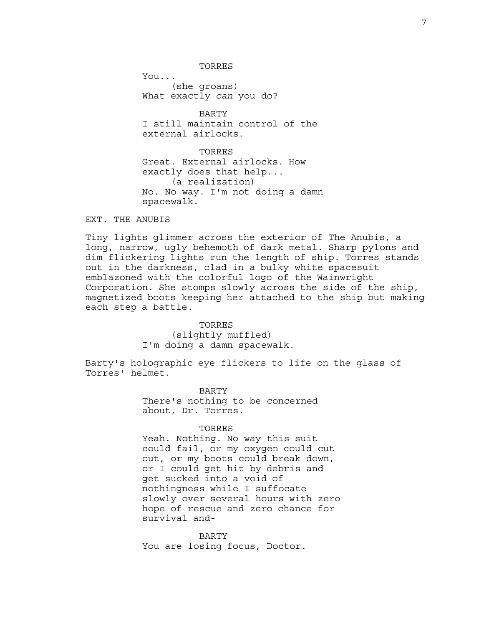TORRES

You... (she groans) What exactly *can* you do?

BARTY I still maintain control of the external airlocks.

TORRES Great. External airlocks. How exactly does that help... (a realization) No. No way. I'm not doing a damn spacewalk.

EXT. THE ANUBIS

Tiny lights glimmer across the exterior of The Anubis, a long, narrow, ugly behemoth of dark metal. Sharp pylons and dim flickering lights run the length of ship. Torres stands out in the darkness, clad in a bulky white spacesuit emblazoned with the colorful logo of the Wainwright Corporation. She stomps slowly across the side of the ship, magnetized boots keeping her attached to the ship but making each step a battle.

# TORRES

(slightly muffled) I'm doing a damn spacewalk.

Barty's holographic eye flickers to life on the glass of Torres' helmet.

> BARTY There's nothing to be concerned about, Dr. Torres.

#### TORRES

Yeah. Nothing. No way this suit could fail, or my oxygen could cut out, or my boots could break down, or I could get hit by debris and get sucked into a void of nothingness while I suffocate slowly over several hours with zero hope of rescue and zero chance for survival and-

BARTY You are losing focus, Doctor.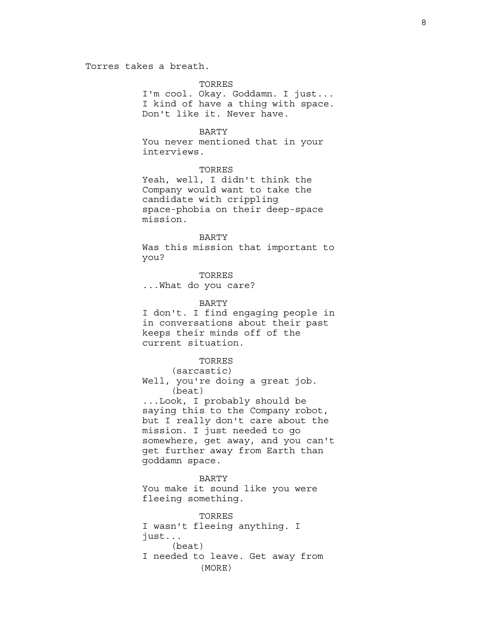Torres takes a breath.

# TORRES

I'm cool. Okay. Goddamn. I just... I kind of have a thing with space. Don't like it. Never have.

# BARTY

You never mentioned that in your interviews.

### TORRES

Yeah, well, I didn't think the Company would want to take the candidate with crippling space-phobia on their deep-space mission.

# BARTY

Was this mission that important to you?

TORRES ...What do you care?

# BARTY

I don't. I find engaging people in in conversations about their past keeps their minds off of the current situation.

# TORRES

(sarcastic)

Well, you're doing a great job. (beat)

...Look, I probably should be saying this to the Company robot, but I really don't care about the mission. I just needed to go somewhere, get away, and you can't get further away from Earth than goddamn space.

# BARTY

You make it sound like you were fleeing something.

TORRES I wasn't fleeing anything. I just... (beat) I needed to leave. Get away from (MORE)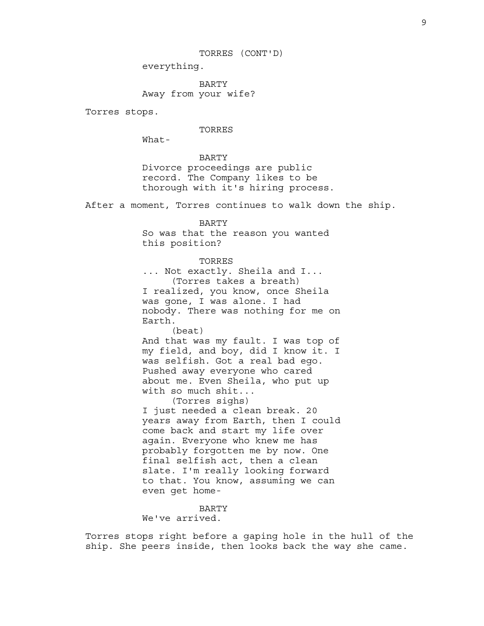TORRES (CONT'D)

everything.

BARTY Away from your wife?

Torres stops.

# TORRES

What-

BARTY Divorce proceedings are public record. The Company likes to be thorough with it's hiring process.

After a moment, Torres continues to walk down the ship.

# BARTY

So was that the reason you wanted this position?

### TORRES

... Not exactly. Sheila and I... (Torres takes a breath) I realized, you know, once Sheila was gone, I was alone. I had nobody. There was nothing for me on Earth.

(beat)

And that was my fault. I was top of my field, and boy, did I know it. I was selfish. Got a real bad ego. Pushed away everyone who cared about me. Even Sheila, who put up with so much shit...

(Torres sighs)

I just needed a clean break. 20 years away from Earth, then I could come back and start my life over again. Everyone who knew me has probably forgotten me by now. One final selfish act, then a clean slate. I'm really looking forward to that. You know, assuming we can even get home-

BARTY We've arrived.

Torres stops right before a gaping hole in the hull of the ship. She peers inside, then looks back the way she came.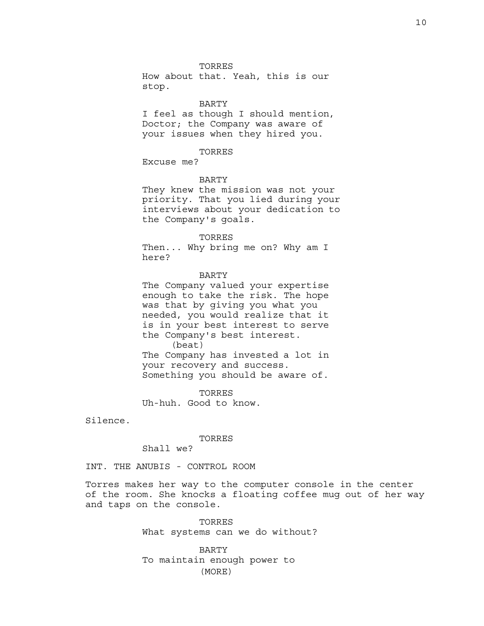#### TORRES

How about that. Yeah, this is our stop.

# BARTY

I feel as though I should mention, Doctor; the Company was aware of your issues when they hired you.

# TORRES

Excuse me?

### BARTY

They knew the mission was not your priority. That you lied during your interviews about your dedication to the Company's goals.

TORRES Then... Why bring me on? Why am I here?

#### BARTY

The Company valued your expertise enough to take the risk. The hope was that by giving you what you needed, you would realize that it is in your best interest to serve the Company's best interest. (beat)

The Company has invested a lot in your recovery and success. Something you should be aware of.

TORRES Uh-huh. Good to know.

Silence.

### TORRES

Shall we?

INT. THE ANUBIS - CONTROL ROOM

Torres makes her way to the computer console in the center of the room. She knocks a floating coffee mug out of her way and taps on the console.

> TORRES What systems can we do without?

BARTY To maintain enough power to (MORE)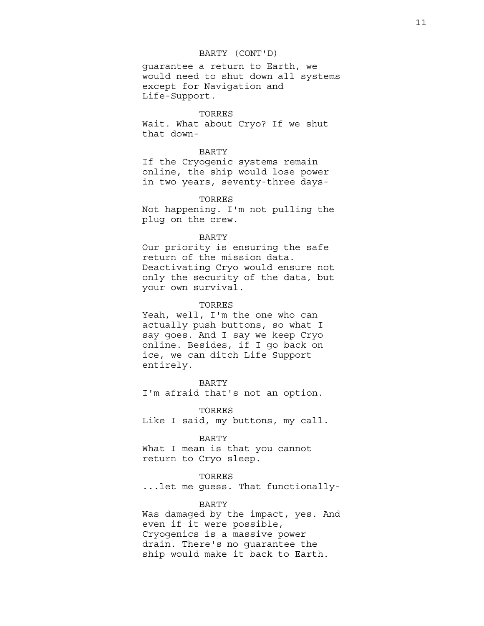### BARTY (CONT'D)

guarantee a return to Earth, we would need to shut down all systems except for Navigation and Life-Support.

### TORRES

Wait. What about Cryo? If we shut that down-

# BARTY

If the Cryogenic systems remain online, the ship would lose power in two years, seventy-three days-

### TORRES

Not happening. I'm not pulling the plug on the crew.

### BARTY

Our priority is ensuring the safe return of the mission data. Deactivating Cryo would ensure not only the security of the data, but your own survival.

# TORRES

Yeah, well, I'm the one who can actually push buttons, so what I say goes. And I say we keep Cryo online. Besides, if I go back on ice, we can ditch Life Support entirely.

BARTY I'm afraid that's not an option.

TORRES Like I said, my buttons, my call.

# BARTY

What I mean is that you cannot return to Cryo sleep.

# TORRES

...let me guess. That functionally-

# BARTY

Was damaged by the impact, yes. And even if it were possible, Cryogenics is a massive power drain. There's no guarantee the ship would make it back to Earth.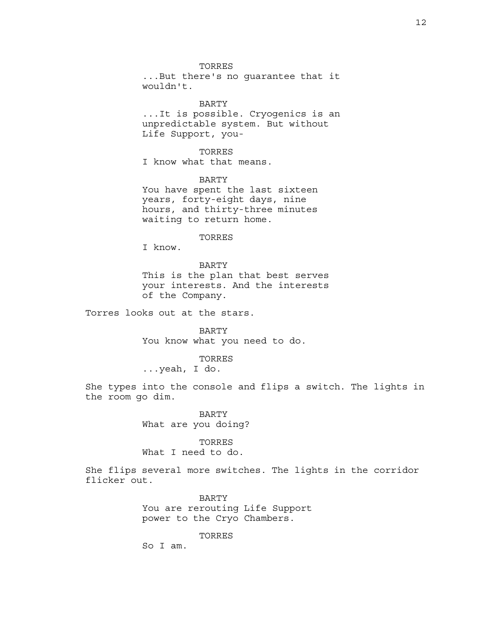#### TORRES

...But there's no guarantee that it wouldn't.

### BARTY

...It is possible. Cryogenics is an unpredictable system. But without Life Support, you-

# TORRES

I know what that means.

### BARTY

You have spent the last sixteen years, forty-eight days, nine hours, and thirty-three minutes waiting to return home.

#### TORRES

I know.

# BARTY This is the plan that best serves your interests. And the interests of the Company.

Torres looks out at the stars.

BARTY You know what you need to do.

#### TORRES

...yeah, I do.

She types into the console and flips a switch. The lights in the room go dim.

# BARTY What are you doing?

TORRES What I need to do.

She flips several more switches. The lights in the corridor flicker out.

> BARTY You are rerouting Life Support power to the Cryo Chambers.

> > TORRES

So I am.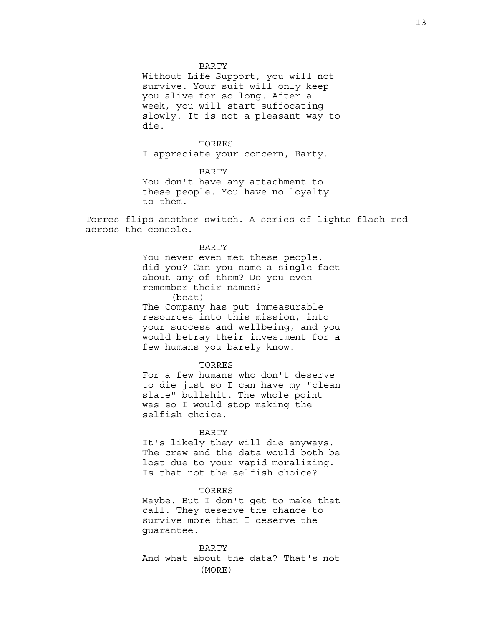#### BARTY

Without Life Support, you will not survive. Your suit will only keep you alive for so long. After a week, you will start suffocating slowly. It is not a pleasant way to die.

### TORRES

I appreciate your concern, Barty.

BARTY You don't have any attachment to these people. You have no loyalty to them.

Torres flips another switch. A series of lights flash red across the console.

# BARTY

You never even met these people, did you? Can you name a single fact about any of them? Do you even remember their names?

(beat)

The Company has put immeasurable resources into this mission, into your success and wellbeing, and you would betray their investment for a few humans you barely know.

### TORRES

For a few humans who don't deserve to die just so I can have my "clean slate" bullshit. The whole point was so I would stop making the selfish choice.

#### BARTY

It's likely they will die anyways. The crew and the data would both be lost due to your vapid moralizing. Is that not the selfish choice?

# TORRES

Maybe. But I don't get to make that call. They deserve the chance to survive more than I deserve the guarantee.

BARTY And what about the data? That's not (MORE)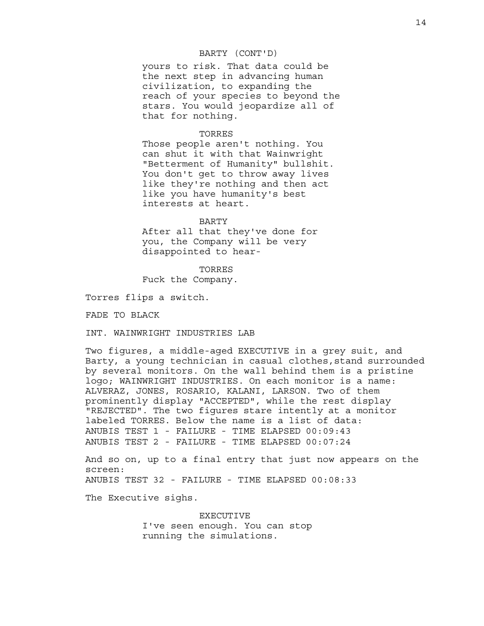### BARTY (CONT'D)

yours to risk. That data could be the next step in advancing human civilization, to expanding the reach of your species to beyond the stars. You would jeopardize all of that for nothing.

### TORRES

Those people aren't nothing. You can shut it with that Wainwright "Betterment of Humanity" bullshit. You don't get to throw away lives like they're nothing and then act like you have humanity's best interests at heart.

#### BARTY

After all that they've done for you, the Company will be very disappointed to hear-

TORRES

Fuck the Company.

Torres flips a switch.

FADE TO BLACK

INT. WAINWRIGHT INDUSTRIES LAB

Two figures, a middle-aged EXECUTIVE in a grey suit, and Barty, a young technician in casual clothes,stand surrounded by several monitors. On the wall behind them is a pristine logo; WAINWRIGHT INDUSTRIES. On each monitor is a name: ALVERAZ, JONES, ROSARIO, KALANI, LARSON. Two of them prominently display "ACCEPTED", while the rest display "REJECTED". The two figures stare intently at a monitor labeled TORRES. Below the name is a list of data: ANUBIS TEST 1 - FAILURE - TIME ELAPSED 00:09:43 ANUBIS TEST 2 - FAILURE - TIME ELAPSED 00:07:24

And so on, up to a final entry that just now appears on the screen: ANUBIS TEST 32 - FAILURE - TIME ELAPSED 00:08:33

The Executive sighs.

EXECUTIVE I've seen enough. You can stop running the simulations.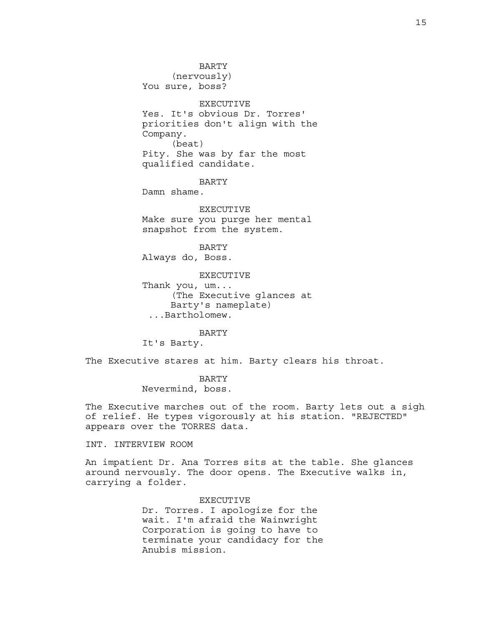BARTY (nervously) You sure, boss? EXECUTIVE Yes. It's obvious Dr. Torres' priorities don't align with the Company. (beat) Pity. She was by far the most qualified candidate.

BARTY

Damn shame.

EXECUTIVE Make sure you purge her mental snapshot from the system.

BARTY Always do, Boss.

EXECUTIVE Thank you, um... (The Executive glances at Barty's nameplate) ...Bartholomew.

BARTY It's Barty.

The Executive stares at him. Barty clears his throat.

BARTY Nevermind, boss.

The Executive marches out of the room. Barty lets out a sigh of relief. He types vigorously at his station. "REJECTED" appears over the TORRES data.

INT. INTERVIEW ROOM

An impatient Dr. Ana Torres sits at the table. She glances around nervously. The door opens. The Executive walks in, carrying a folder.

> EXECUTIVE Dr. Torres. I apologize for the wait. I'm afraid the Wainwright Corporation is going to have to terminate your candidacy for the Anubis mission.